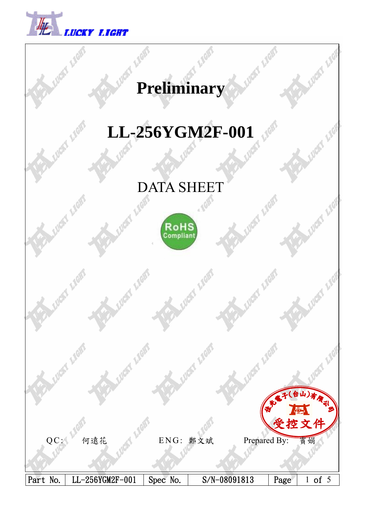

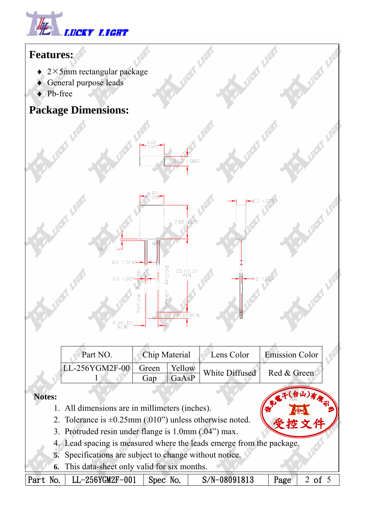



- $\triangleq$  2 $\times$ 5mm rectangular package
- ♦ General purpose leads
- ♦ Pb-free

## **Package Dimensions:**



LUCKY LIGY

 $2.0(0.079)$ 

 $-0.5$  (.02)

**LUGIST** 



| Part NO.                       | <b>Chip Material</b> |       | Lens Color     | <b>Emission Color</b> |  |
|--------------------------------|----------------------|-------|----------------|-----------------------|--|
| LL-256YGM2F-00  Green   Yellow |                      |       | White Diffused | Red & Green           |  |
|                                | Gap                  | GaAsP |                |                       |  |

## **Notes:**

- 1. All dimensions are in millimeters (inches).
- 2. Tolerance is  $\pm 0.25$ mm (.010") unless otherwise noted.
- 3. Protruded resin under flange is 1.0mm (.04") max.
- 4. Lead spacing is measured where the leads emerge from the package.
- **5.** Specifications are subject to change without notice.
- **6.** This data-sheet only valid for six months.

Part No. | LL-256YGM2F-001 | Spec No. | S/N-08091813 | Page | 2 of 5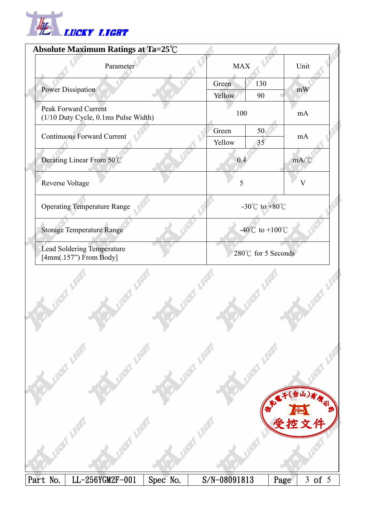

|                 | Absolute Maximum Ratings at Ta=25℃                                  |          |                 |                 |                    |                       |
|-----------------|---------------------------------------------------------------------|----------|-----------------|-----------------|--------------------|-----------------------|
|                 | Parameter                                                           |          | <b>MAX</b>      |                 |                    | Unit                  |
|                 | Power Dissipation                                                   |          | Green<br>Yellow | 130<br>90       |                    | mW                    |
|                 | <b>Peak Forward Current</b><br>(1/10 Duty Cycle, 0.1ms Pulse Width) |          | 100             |                 |                    | mA                    |
|                 | <b>Continuous Forward Current</b>                                   |          | Green<br>Yellow | 50<br>35        |                    | mA                    |
|                 | Derating Linear From 50°C                                           |          | 0.4             |                 |                    | $mA$ <sup>°</sup> $C$ |
| Reverse Voltage |                                                                     |          | 5               |                 |                    | $\rm V$               |
|                 | <b>Operating Temperature Range</b>                                  |          |                 | -30°C to +80°C  |                    |                       |
|                 | <b>Storage Temperature Range</b>                                    |          |                 | -40°C to +100°C |                    |                       |
|                 | <b>Lead Soldering Temperature</b><br>$[4mm(.157")$ From Body]       |          |                 |                 | 280℃ for 5 Seconds |                       |
|                 |                                                                     |          |                 |                 |                    |                       |
|                 | Y LIGH!                                                             |          |                 |                 |                    | (台山)有限司               |
|                 |                                                                     |          |                 |                 |                    | 控文件                   |
| Part No.        | LL-256YGM2F-001                                                     | Spec No. | S/N-08091813    |                 | Page               | 3 of 5                |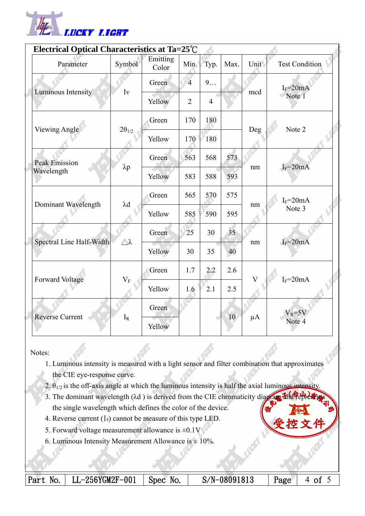

|  | Electrical Optical Characteristics at Ta=25°C |                       |                   |                |                |      |         |                |  |
|--|-----------------------------------------------|-----------------------|-------------------|----------------|----------------|------|---------|----------------|--|
|  | Parameter                                     | Symbol                | Emitting<br>Color | Min.           | Typ.           | Max. | Unit    | Test Condition |  |
|  | Luminous Intensity                            | Iv                    | Green             | $\overline{4}$ | 9              |      | mcd     | $I_F = 20mA$   |  |
|  |                                               |                       | Yellow            | $\overline{2}$ | $\overline{4}$ |      |         | Note 1         |  |
|  | <b>Viewing Angle</b>                          | $2\theta_{1/2}$       | Green             | 170            | 180            |      | Deg     | Note 2         |  |
|  |                                               |                       | Yellow            | 170            | 180            |      |         |                |  |
|  | <b>Peak Emission</b><br>Wavelength            | $\lambda p$           | Green             | 563            | 568            | 573  | nm      | $I_F = 20mA$   |  |
|  |                                               |                       | Yellow            | 583            | 588            | 593  |         |                |  |
|  | Dominant Wavelength                           | $\lambda d$           | Green             | 565            | 570            | 575  | nm      | $I_F = 20mA$   |  |
|  |                                               |                       | Yellow            | 585            | 590            | 595  |         | Note 3         |  |
|  | Spectral Line Half-Width                      | $\triangle$ $\lambda$ | Green             | 25             | 30             | 35   | nm      | $I_F = 20mA$   |  |
|  |                                               |                       | Yellow            | 30             | 35             | 40   |         |                |  |
|  | Forward Voltage                               | $V_{F}$<br>$I_R$      | Green             | 1.7            | 2.2            | 2.6  | V       | $I_F = 20mA$   |  |
|  |                                               |                       | Yellow            | 1.6            | 2.1            | 2.5  |         |                |  |
|  | <b>Reverse Current</b>                        |                       | Green             |                |                | 10   | $\mu A$ | $V_R = 5V$     |  |
|  |                                               |                       | Yellow            |                |                |      |         | Note 4         |  |

Notes:

- 1. Luminous intensity is measured with a light sensor and filter combination that approximates the CIE eye-response curve.
- 2.  $\theta_{1/2}$  is the off-axis angle at which the luminous intensity is half the axial luminous intensity.
- 3. The dominant wavelength  $(\lambda d)$  is derived from the CIE chromaticity diagram and the single wavelength which defines the color of the device.
- 4. Reverse current  $(I_R)$  cannot be measure of this type LED.
- 5. Forward voltage measurement allowance is  $\pm 0.1V$
- 6. Luminous Intensity Measurement Allowance is  $\pm$  10%.

Part No. | LL-256YGM2F-001 | Spec No. | S/N-08091813 | Page | 4 of 5